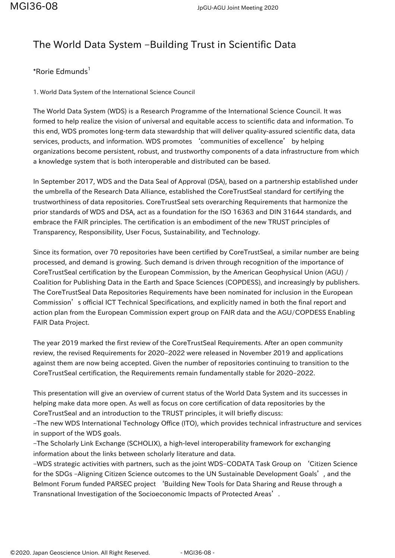## The World Data System –Building Trust in Scientific Data

## \*Rorie Edmunds<sup>1</sup>

1. World Data System of the International Science Council

The World Data System (WDS) is a Research Programme of the International Science Council. It was formed to help realize the vision of universal and equitable access to scientific data and information. To this end, WDS promotes long-term data stewardship that will deliver quality-assured scientific data, data services, products, and information. WDS promotes 'communities of excellence' by helping organizations become persistent, robust, and trustworthy components of a data infrastructure from which a knowledge system that is both interoperable and distributed can be based.

In September 2017, WDS and the Data Seal of Approval (DSA), based on a partnership established under the umbrella of the Research Data Alliance, established the CoreTrustSeal standard for certifying the trustworthiness of data repositories. CoreTrustSeal sets overarching Requirements that harmonize the prior standards of WDS and DSA, act as a foundation for the ISO 16363 and DIN 31644 standards, and embrace the FAIR principles. The certification is an embodiment of the new TRUST principles of Transparency, Responsibility, User Focus, Sustainability, and Technology.

Since its formation, over 70 repositories have been certified by CoreTrustSeal, a similar number are being processed, and demand is growing. Such demand is driven through recognition of the importance of CoreTrustSeal certification by the European Commission, by the American Geophysical Union (AGU) / Coalition for Publishing Data in the Earth and Space Sciences (COPDESS), and increasingly by publishers. The CoreTrustSeal Data Repositories Requirements have been nominated for inclusion in the European Commission's official ICT Technical Specifications, and explicitly named in both the final report and action plan from the European Commission expert group on FAIR data and the AGU/COPDESS Enabling FAIR Data Project.

The year 2019 marked the first review of the CoreTrustSeal Requirements. After an open community review, the revised Requirements for 2020–2022 were released in November 2019 and applications against them are now being accepted. Given the number of repositories continuing to transition to the CoreTrustSeal certification, the Requirements remain fundamentally stable for 2020–2022.

This presentation will give an overview of current status of the World Data System and its successes in helping make data more open. As well as focus on core certification of data repositories by the CoreTrustSeal and an introduction to the TRUST principles, it will briefly discuss:

–The new WDS International Technology Office (ITO), which provides technical infrastructure and services in support of the WDS goals.

–The Scholarly Link Exchange (SCHOLIX), a high-level interoperability framework for exchanging information about the links between scholarly literature and data.

–WDS strategic activities with partners, such as the joint WDS–CODATA Task Group on 'Citizen Science for the SDGs -Aligning Citizen Science outcomes to the UN Sustainable Development Goals', and the Belmont Forum funded PARSEC project 'Building New Tools for Data Sharing and Reuse through a Transnational Investigation of the Socioeconomic Impacts of Protected Areas'.